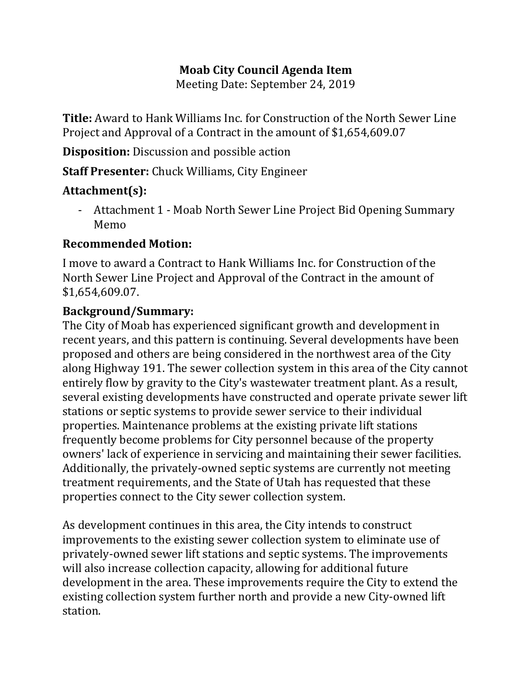## **Moab City Council Agenda Item**

Meeting Date: September 24, 2019

**Title:** Award to Hank Williams Inc. for Construction of the North Sewer Line Project and Approval of a Contract in the amount of \$1,654,609.07

**Disposition:** Discussion and possible action

**Staff Presenter:** Chuck Williams, City Engineer

## **Attachment(s):**

- Attachment 1 - Moab North Sewer Line Project Bid Opening Summary Memo

## **Recommended Motion:**

I move to award a Contract to Hank Williams Inc. for Construction of the North Sewer Line Project and Approval of the Contract in the amount of \$1,654,609.07.

## **Background/Summary:**

The City of Moab has experienced significant growth and development in recent years, and this pattern is continuing. Several developments have been proposed and others are being considered in the northwest area of the City along Highway 191. The sewer collection system in this area of the City cannot entirely flow by gravity to the City's wastewater treatment plant. As a result, several existing developments have constructed and operate private sewer lift stations or septic systems to provide sewer service to their individual properties. Maintenance problems at the existing private lift stations frequently become problems for City personnel because of the property owners' lack of experience in servicing and maintaining their sewer facilities. Additionally, the privately-owned septic systems are currently not meeting treatment requirements, and the State of Utah has requested that these properties connect to the City sewer collection system.

As development continues in this area, the City intends to construct improvements to the existing sewer collection system to eliminate use of privately-owned sewer lift stations and septic systems. The improvements will also increase collection capacity, allowing for additional future development in the area. These improvements require the City to extend the existing collection system further north and provide a new City-owned lift station.